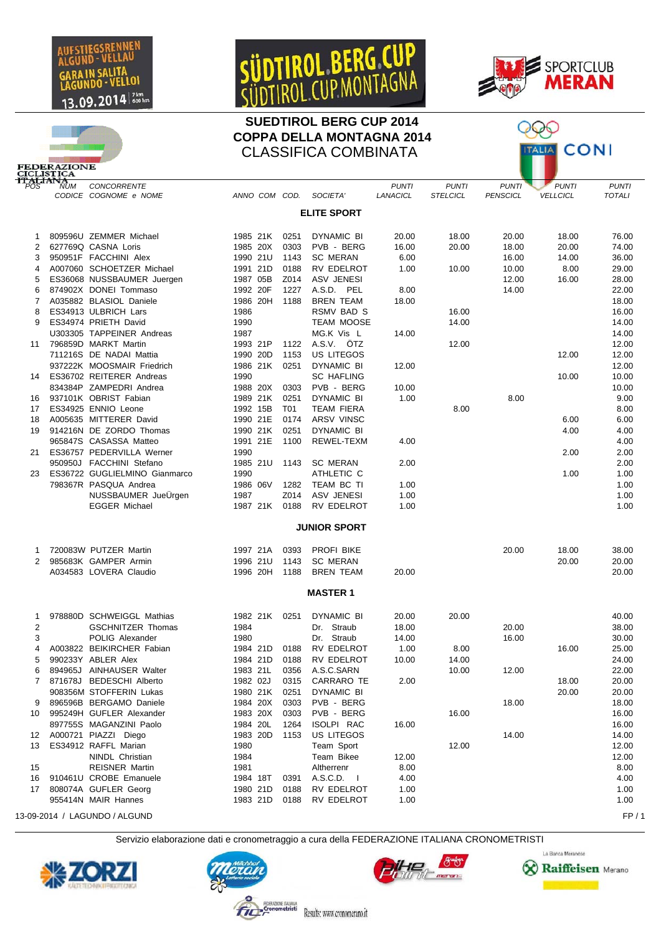

**DERAZIONE** 

## SÜDTIROL BERG

## **SUEDTIROL BERG CUP 2014 COPPA DELLA MONTAGNA 2014** CLASSIFICA COMBINATA



Ж

**ALIA CONI** 



13-09-2014 / LAGUNDO / ALGUND FP / 1

Servizio elaborazione dati e cronometraggio a cura della FEDERAZIONE ITALIANA CRONOMETRISTI

Results: www.cronomerano.it







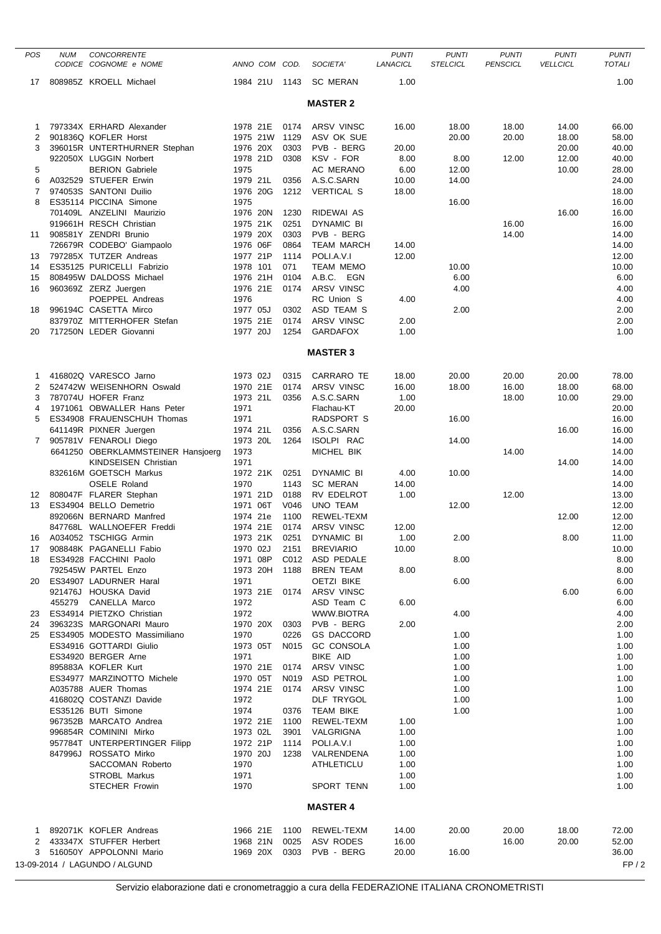| POS          | <b>NUM</b> | <b>CONCORRENTE</b><br>CODICE COGNOME e NOME          | ANNO COM COD.        |              | SOCIETA'                       | <b>PUNTI</b><br>LANACICL | <b>PUNTI</b><br><b>STELCICL</b> | <b>PUNTI</b><br><b>PENSCICL</b> | <b>PUNTI</b><br><b>VELLCICL</b> | <b>PUNTI</b><br><b>TOTALI</b> |
|--------------|------------|------------------------------------------------------|----------------------|--------------|--------------------------------|--------------------------|---------------------------------|---------------------------------|---------------------------------|-------------------------------|
| 17           |            | 808985Z KROELL Michael                               | 1984 21U             | 1143         | <b>SC MERAN</b>                | 1.00                     |                                 |                                 |                                 | 1.00                          |
|              |            |                                                      |                      |              | <b>MASTER 2</b>                |                          |                                 |                                 |                                 |                               |
| 1            |            | 797334X ERHARD Alexander                             | 1978 21E             | 0174         | ARSV VINSC                     | 16.00                    | 18.00                           | 18.00                           | 14.00                           | 66.00                         |
| 2            |            | 901836Q KOFLER Horst                                 | 1975 21W             | 1129         | ASV OK SUE                     |                          | 20.00                           | 20.00                           | 18.00                           | 58.00                         |
| 3            |            | 396015R UNTERTHURNER Stephan                         | 1976 20X             | 0303         | PVB - BERG                     | 20.00                    |                                 |                                 | 20.00                           | 40.00                         |
|              |            | 922050X LUGGIN Norbert                               | 1978 21D             | 0308         | KSV - FOR                      | 8.00                     | 8.00                            | 12.00                           | 12.00                           | 40.00                         |
| 5            |            | <b>BERION Gabriele</b>                               | 1975                 |              | AC MERANO                      | 6.00                     | 12.00                           |                                 | 10.00                           | 28.00                         |
| 6            |            | A032529 STUEFER Erwin                                | 1979 21L             | 0356         | A.S.C.SARN                     | 10.00                    | 14.00                           |                                 |                                 | 24.00                         |
| 7            |            | 974053S SANTONI Duilio                               | 1976 20G             | 1212         | <b>VERTICAL S</b>              | 18.00                    |                                 |                                 |                                 | 18.00                         |
| 8            |            | ES35114 PICCINA Simone<br>701409L ANZELINI Maurizio  | 1975<br>1976 20N     |              |                                |                          | 16.00                           |                                 |                                 | 16.00                         |
|              |            | 919661H RESCH Christian                              | 1975 21K             | 1230<br>0251 | RIDEWAI AS<br>DYNAMIC BI       |                          |                                 | 16.00                           | 16.00                           | 16.00<br>16.00                |
| 11           |            | 908581Y ZENDRI Brunio                                | 1979 20X             | 0303         | PVB - BERG                     |                          |                                 | 14.00                           |                                 | 14.00                         |
|              |            | 726679R CODEBO' Giampaolo                            | 1976 06F             | 0864         | <b>TEAM MARCH</b>              | 14.00                    |                                 |                                 |                                 | 14.00                         |
| 13           |            | 797285X TUTZER Andreas                               | 1977 21P             | 1114         | POLI.A.V.I                     | 12.00                    |                                 |                                 |                                 | 12.00                         |
| 14           |            | ES35125 PURICELLI Fabrizio                           | 1978 101             | 071          | <b>TEAM MEMO</b>               |                          | 10.00                           |                                 |                                 | 10.00                         |
| 15           |            | 808495W DALDOSS Michael                              | 1976 21H             | 0104         | A.B.C. EGN                     |                          | 6.00                            |                                 |                                 | 6.00                          |
| 16           |            | 960369Z ZERZ Juergen                                 | 1976 21E             | 0174         | <b>ARSV VINSC</b>              |                          | 4.00                            |                                 |                                 | 4.00                          |
|              |            | POEPPEL Andreas                                      | 1976                 |              | RC Union S                     | 4.00                     |                                 |                                 |                                 | 4.00                          |
| 18           |            | 996194C CASETTA Mirco                                | 1977 05J             | 0302         | ASD TEAM S                     |                          | 2.00                            |                                 |                                 | 2.00                          |
|              |            | 837970Z MITTERHOFER Stefan<br>717250N LEDER Giovanni | 1975 21E             | 0174<br>1254 | ARSV VINSC<br><b>GARDAFOX</b>  | 2.00                     |                                 |                                 |                                 | 2.00                          |
| 20           |            |                                                      | 1977 20J             |              |                                | 1.00                     |                                 |                                 |                                 | 1.00                          |
|              |            |                                                      |                      |              | <b>MASTER 3</b>                |                          |                                 |                                 |                                 |                               |
| 1            |            | 416802Q VARESCO Jarno                                | 1973 02J             | 0315         | CARRARO TE                     | 18.00                    | 20.00                           | 20.00                           | 20.00                           | 78.00                         |
| 2            |            | 524742W WEISENHORN Oswald                            | 1970 21E             | 0174         | <b>ARSV VINSC</b>              | 16.00                    | 18.00                           | 16.00                           | 18.00                           | 68.00                         |
| 3            |            | 787074U HOFER Franz                                  | 1973 21L             | 0356         | A.S.C.SARN                     | 1.00                     |                                 | 18.00                           | 10.00                           | 29.00                         |
| 4            |            | 1971061 OBWALLER Hans Peter                          | 1971                 |              | Flachau-KT                     | 20.00                    |                                 |                                 |                                 | 20.00                         |
| 5            |            | ES34908 FRAUENSCHUH Thomas                           | 1971                 |              | RADSPORT S                     |                          | 16.00                           |                                 |                                 | 16.00                         |
| $\mathbf{7}$ |            | 641149R PIXNER Juergen<br>905781V FENAROLI Diego     | 1974 21L<br>1973 20L | 0356<br>1264 | A.S.C.SARN<br>ISOLPI RAC       |                          | 14.00                           |                                 | 16.00                           | 16.00<br>14.00                |
|              |            | 6641250 OBERKLAMMSTEINER Hansjoerg                   | 1973                 |              | MICHEL BIK                     |                          |                                 | 14.00                           |                                 | 14.00                         |
|              |            | <b>KINDSEISEN Christian</b>                          | 1971                 |              |                                |                          |                                 |                                 | 14.00                           | 14.00                         |
|              |            | 832616M GOETSCH Markus                               | 1972 21K             | 0251         | <b>DYNAMIC BI</b>              | 4.00                     | 10.00                           |                                 |                                 | 14.00                         |
|              |            | OSELE Roland                                         | 1970                 | 1143         | <b>SC MERAN</b>                | 14.00                    |                                 |                                 |                                 | 14.00                         |
| 12           |            | 808047F FLARER Stephan                               | 1971 21D             | 0188         | RV EDELROT                     | 1.00                     |                                 | 12.00                           |                                 | 13.00                         |
| 13           |            | ES34904 BELLO Demetrio                               | 1971 06T             | V046         | <b>UNO TEAM</b>                |                          | 12.00                           |                                 |                                 | 12.00                         |
|              |            | 892066N BERNARD Manfred                              | 1974 21e             | 1100         | REWEL-TEXM                     |                          |                                 |                                 | 12.00                           | 12.00                         |
|              |            | 847768L WALLNOEFER Freddi                            | 1974 21E             | 0174         | <b>ARSV VINSC</b>              | 12.00                    |                                 |                                 |                                 | 12.00                         |
| 16           |            | A034052 TSCHIGG Armin                                | 1973 21K             | 0251         | DYNAMIC BI                     | 1.00                     | 2.00                            |                                 | 8.00                            | 11.00                         |
| 17           |            | 908848K PAGANELLI Fabio                              | 1970 02J             | 2151         | <b>BREVIARIO</b>               | 10.00                    |                                 |                                 |                                 | 10.00                         |
| 18           |            | ES34928 FACCHINI Paolo<br>792545W PARTEL Enzo        | 1971 08P<br>1973 20H | C012<br>1188 | ASD PEDALE<br><b>BREN TEAM</b> | 8.00                     | 8.00                            |                                 |                                 | 8.00<br>8.00                  |
| 20           |            | ES34907 LADURNER Haral                               | 1971                 |              | <b>OETZI BIKE</b>              |                          | 6.00                            |                                 |                                 | 6.00                          |
|              |            | 921476J HOUSKA David                                 | 1973 21E             | 0174         | ARSV VINSC                     |                          |                                 |                                 | 6.00                            | 6.00                          |
|              |            | 455279 CANELLA Marco                                 | 1972                 |              | ASD Team C                     | 6.00                     |                                 |                                 |                                 | 6.00                          |
| 23           |            | ES34914 PIETZKO Christian                            | 1972                 |              | WWW.BIOTRA                     |                          | 4.00                            |                                 |                                 | 4.00                          |
| 24           |            | 396323S MARGONARI Mauro                              | 1970 20X             | 0303         | PVB - BERG                     | 2.00                     |                                 |                                 |                                 | 2.00                          |
| 25           |            | ES34905 MODESTO Massimiliano                         | 1970                 | 0226         | <b>GS DACCORD</b>              |                          | 1.00                            |                                 |                                 | 1.00                          |
|              |            | ES34916 GOTTARDI Giulio                              | 1973 05T             | N015         | <b>GC CONSOLA</b>              |                          | 1.00                            |                                 |                                 | 1.00                          |
|              |            | ES34920 BERGER Arne<br>895883A KOFLER Kurt           | 1971<br>1970 21E     | 0174         | BIKE AID<br>ARSV VINSC         |                          | 1.00<br>1.00                    |                                 |                                 | 1.00<br>1.00                  |
|              |            | ES34977 MARZINOTTO Michele                           | 1970 05T             | N019         | ASD PETROL                     |                          | 1.00                            |                                 |                                 | 1.00                          |
|              |            | A035788 AUER Thomas                                  | 1974 21E             | 0174         | ARSV VINSC                     |                          | 1.00                            |                                 |                                 | 1.00                          |
|              |            | 416802Q COSTANZI Davide                              | 1972                 |              | DLF TRYGOL                     |                          | 1.00                            |                                 |                                 | 1.00                          |
|              |            | ES35126 BUTI Simone                                  | 1974                 | 0376         | <b>TEAM BIKE</b>               |                          | 1.00                            |                                 |                                 | 1.00                          |
|              |            | 967352B MARCATO Andrea                               | 1972 21E             | 1100         | REWEL-TEXM                     | 1.00                     |                                 |                                 |                                 | 1.00                          |
|              |            | 996854R COMININI Mirko                               | 1973 02L             | 3901         | VALGRIGNA                      | 1.00                     |                                 |                                 |                                 | 1.00                          |
|              |            | 957784T UNTERPERTINGER Filipp                        | 1972 21P             | 1114         | POLI.A.V.I                     | 1.00                     |                                 |                                 |                                 | 1.00                          |
|              |            | 847996J ROSSATO Mirko                                | 1970 20J             | 1238         | VALRENDENA                     | 1.00                     |                                 |                                 |                                 | 1.00                          |
|              |            | SACCOMAN Roberto                                     | 1970                 |              | ATHLETICLU                     | 1.00                     |                                 |                                 |                                 | 1.00                          |
|              |            | <b>STROBL Markus</b><br><b>STECHER Frowin</b>        | 1971<br>1970         |              | SPORT TENN                     | 1.00<br>1.00             |                                 |                                 |                                 | 1.00<br>1.00                  |
|              |            |                                                      |                      |              | <b>MASTER 4</b>                |                          |                                 |                                 |                                 |                               |
|              |            | 892071K KOFLER Andreas                               |                      |              | REWEL-TEXM                     |                          |                                 |                                 | 18.00                           | 72.00                         |
| 1<br>2       |            | 433347X STUFFER Herbert                              | 1966 21E<br>1968 21N | 1100<br>0025 | ASV RODES                      | 14.00<br>16.00           | 20.00                           | 20.00<br>16.00                  | 20.00                           | 52.00                         |
| 3            |            | 516050Y APPOLONNI Mario                              | 1969 20X             | 0303         | PVB - BERG                     | 20.00                    | 16.00                           |                                 |                                 | 36.00                         |
|              |            | 13-09-2014 / LAGUNDO / ALGUND                        |                      |              |                                |                          |                                 |                                 |                                 | FP/2                          |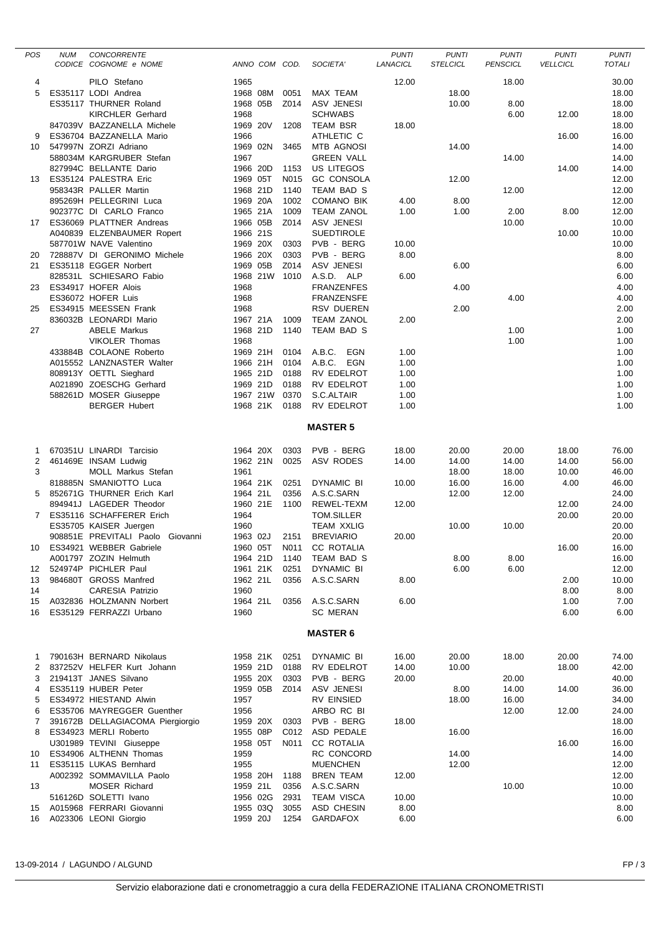| <b>POS</b>      | <b>NUM</b> | <b>CONCORRENTE</b><br>CODICE COGNOME e NOME | ANNO COM COD. |      | SOCIETA'                 | <b>PUNTI</b><br>LANACICL | <b>PUNTI</b><br><b>STELCICL</b> | <b>PUNTI</b><br><b>PENSCICL</b> | <b>PUNTI</b><br><b>VELLCICL</b> | <b>PUNTI</b><br><b>TOTALI</b> |
|-----------------|------------|---------------------------------------------|---------------|------|--------------------------|--------------------------|---------------------------------|---------------------------------|---------------------------------|-------------------------------|
| 4               |            | PILO Stefano                                | 1965          |      |                          | 12.00                    |                                 | 18.00                           |                                 | 30.00                         |
| 5               |            | ES35117 LODI Andrea                         | 1968 08M      | 0051 | MAX TEAM                 |                          | 18.00                           |                                 |                                 | 18.00                         |
|                 |            | ES35117 THURNER Roland                      | 1968 05B      | Z014 | ASV JENESI               |                          | 10.00                           | 8.00                            |                                 | 18.00                         |
|                 |            | <b>KIRCHLER Gerhard</b>                     | 1968          |      | <b>SCHWABS</b>           |                          |                                 | 6.00                            | 12.00                           | 18.00                         |
|                 |            |                                             | 1969 20V      |      |                          |                          |                                 |                                 |                                 |                               |
|                 |            | 847039V BAZZANELLA Michele                  |               | 1208 | <b>TEAM BSR</b>          | 18.00                    |                                 |                                 |                                 | 18.00                         |
| 9               |            | ES36704 BAZZANELLA Mario                    | 1966          |      | ATHLETIC C               |                          |                                 |                                 | 16.00                           | 16.00                         |
| 10              |            | 547997N ZORZI Adriano                       | 1969 02N      | 3465 | MTB AGNOSI               |                          | 14.00                           |                                 |                                 | 14.00                         |
|                 |            | 588034M KARGRUBER Stefan                    | 1967          |      | <b>GREEN VALL</b>        |                          |                                 | 14.00                           |                                 | 14.00                         |
|                 |            | 827994C BELLANTE Dario                      | 1966 20D      | 1153 | US LITEGOS               |                          |                                 |                                 | 14.00                           | 14.00                         |
|                 |            | 13 ES35124 PALESTRA Eric                    | 1969 05T      | N015 | <b>GC CONSOLA</b>        |                          | 12.00                           |                                 |                                 | 12.00                         |
|                 |            | 958343R PALLER Martin                       | 1968 21D      | 1140 | TEAM BAD S               |                          |                                 | 12.00                           |                                 | 12.00                         |
|                 |            | 895269H PELLEGRINI Luca                     | 1969 20A      | 1002 | <b>COMANO BIK</b>        | 4.00                     | 8.00                            |                                 |                                 | 12.00                         |
|                 |            | 902377C DI CARLO Franco                     | 1965 21A      | 1009 | <b>TEAM ZANOL</b>        | 1.00                     | 1.00                            | 2.00                            | 8.00                            | 12.00                         |
|                 |            | 17 ES36069 PLATTNER Andreas                 | 1966 05B      | Z014 | ASV JENESI               |                          |                                 | 10.00                           |                                 | 10.00                         |
|                 |            | A040839 ELZENBAUMER Ropert                  | 1966 21S      |      | <b>SUEDTIROLE</b>        |                          |                                 |                                 | 10.00                           | 10.00                         |
|                 |            | 587701W NAVE Valentino                      | 1969 20X      | 0303 | PVB - BERG               | 10.00                    |                                 |                                 |                                 | 10.00                         |
| 20              |            | 728887V DI GERONIMO Michele                 | 1966 20X      | 0303 | PVB - BERG               | 8.00                     |                                 |                                 |                                 | 8.00                          |
| 21              |            | ES35118 EGGER Norbert                       | 1969 05B      | Z014 | <b>ASV JENESI</b>        |                          | 6.00                            |                                 |                                 | 6.00                          |
|                 |            | 828531L SCHIESARO Fabio                     | 1968 21W      | 1010 | A.S.D. ALP               | 6.00                     |                                 |                                 |                                 | 6.00                          |
| 23              |            | ES34917 HOFER Alois                         | 1968          |      | <b>FRANZENFES</b>        |                          | 4.00                            |                                 |                                 | 4.00                          |
|                 |            | ES36072 HOFER Luis                          | 1968          |      | <b>FRANZENSFE</b>        |                          |                                 | 4.00                            |                                 | 4.00                          |
| 25              |            | ES34915 MEESSEN Frank                       | 1968          |      | <b>RSV DUEREN</b>        |                          | 2.00                            |                                 |                                 | 2.00                          |
|                 |            | 836032B LEONARDI Mario                      | 1967 21A      | 1009 | <b>TEAM ZANOL</b>        | 2.00                     |                                 |                                 |                                 | 2.00                          |
| 27              |            | <b>ABELE Markus</b>                         | 1968 21D      | 1140 | TEAM BAD S               |                          |                                 | 1.00                            |                                 | 1.00                          |
|                 |            | <b>VIKOLER Thomas</b>                       | 1968          |      |                          |                          |                                 | 1.00                            |                                 | 1.00                          |
|                 |            | 433884B COLAONE Roberto                     | 1969 21H      | 0104 | A.B.C.<br>EGN            | 1.00                     |                                 |                                 |                                 | 1.00                          |
|                 |            | A015552 LANZNASTER Walter                   | 1966 21H      | 0104 | A.B.C.<br><b>EGN</b>     | 1.00                     |                                 |                                 |                                 | 1.00                          |
|                 |            | 808913Y OETTL Sieghard                      | 1965 21D      | 0188 | RV EDELROT               | 1.00                     |                                 |                                 |                                 | 1.00                          |
|                 |            | A021890 ZOESCHG Gerhard                     | 1969 21D      | 0188 | RV EDELROT               | 1.00                     |                                 |                                 |                                 | 1.00                          |
|                 |            | 588261D MOSER Giuseppe                      | 1967 21W      | 0370 | S.C.ALTAIR               | 1.00                     |                                 |                                 |                                 | 1.00                          |
|                 |            | <b>BERGER Hubert</b>                        | 1968 21K      | 0188 | RV EDELROT               | 1.00                     |                                 |                                 |                                 | 1.00                          |
|                 |            |                                             |               |      | <b>MASTER 5</b>          |                          |                                 |                                 |                                 |                               |
| -1              |            | 670351U LINARDI Tarcisio                    | 1964 20X      | 0303 | PVB - BERG               | 18.00                    | 20.00                           | 20.00                           | 18.00                           | 76.00                         |
| 2               |            | 461469E INSAM Ludwig                        | 1962 21N      | 0025 | ASV RODES                | 14.00                    | 14.00                           | 14.00                           | 14.00                           | 56.00                         |
| 3               |            | <b>MOLL Markus Stefan</b>                   | 1961          |      |                          |                          | 18.00                           | 18.00                           | 10.00                           | 46.00                         |
|                 |            | 818885N SMANIOTTO Luca                      | 1964 21K      | 0251 | DYNAMIC BI               | 10.00                    | 16.00                           | 16.00                           | 4.00                            | 46.00                         |
| 5               |            | 852671G THURNER Erich Karl                  | 1964 21L      | 0356 | A.S.C.SARN               |                          | 12.00                           | 12.00                           |                                 | 24.00                         |
|                 |            | 894941J LAGEDER Theodor                     | 1960 21E      | 1100 | REWEL-TEXM               | 12.00                    |                                 |                                 | 12.00                           | 24.00                         |
| 7               |            | ES35116 SCHAFFERER Erich                    | 1964          |      | TOM.SILLER               |                          |                                 |                                 | 20.00                           | 20.00                         |
|                 |            | ES35705 KAISER Juergen                      | 1960          |      | <b>TEAM XXLIG</b>        |                          | 10.00                           | 10.00                           |                                 | 20.00                         |
|                 |            | 908851E PREVITALI Paolo Giovanni            | 1963 02J      | 2151 | <b>BREVIARIO</b>         | 20.00                    |                                 |                                 |                                 | 20.00                         |
| 10              |            | ES34921 WEBBER Gabriele                     |               |      | 1960 05T N011 CC ROTALIA |                          |                                 |                                 | 16.00                           | 16.00                         |
|                 |            | A001797 ZOZIN Helmuth                       | 1964 21D      | 1140 | TEAM BAD S               |                          | 8.00                            | 8.00                            |                                 | 16.00                         |
| 12              |            | 524974P PICHLER Paul                        | 1961 21K      | 0251 | DYNAMIC BI               |                          | 6.00                            | 6.00                            |                                 | 12.00                         |
| 13              |            | 984680T GROSS Manfred                       | 1962 21L      | 0356 | A.S.C.SARN               | 8.00                     |                                 |                                 | 2.00                            | 10.00                         |
| 14              |            | <b>CARESIA Patrizio</b>                     | 1960          |      |                          |                          |                                 |                                 | 8.00                            | 8.00                          |
| 15              |            | A032836 HOLZMANN Norbert                    | 1964 21L      | 0356 | A.S.C.SARN               | 6.00                     |                                 |                                 | 1.00                            | 7.00                          |
| 16              |            | ES35129 FERRAZZI Urbano                     | 1960          |      | <b>SC MERAN</b>          |                          |                                 |                                 | 6.00                            | 6.00                          |
| <b>MASTER 6</b> |            |                                             |               |      |                          |                          |                                 |                                 |                                 |                               |
|                 |            |                                             |               |      |                          |                          |                                 |                                 |                                 |                               |
| 1               |            | 790163H BERNARD Nikolaus                    | 1958 21K      | 0251 | DYNAMIC BI               | 16.00                    | 20.00                           | 18.00                           | 20.00                           | 74.00                         |
| 2               |            | 837252V HELFER Kurt Johann                  | 1959 21D      | 0188 | RV EDELROT               | 14.00                    | 10.00                           |                                 | 18.00                           | 42.00                         |
| 3               |            | 219413T JANES Silvano                       | 1955 20X      | 0303 | PVB - BERG               | 20.00                    |                                 | 20.00                           |                                 | 40.00                         |
|                 |            | ES35119 HUBER Peter                         | 1959 05B      | Z014 | <b>ASV JENESI</b>        |                          | 8.00                            | 14.00                           | 14.00                           | 36.00                         |
| 5               |            | ES34972 HIESTAND Alwin                      | 1957          |      | <b>RV EINSIED</b>        |                          | 18.00                           | 16.00                           |                                 | 34.00                         |
| 6               |            | ES35706 MAYREGGER Guenther                  | 1956          |      | ARBO RC BI               |                          |                                 | 12.00                           | 12.00                           | 24.00                         |
| 7               |            | 391672B DELLAGIACOMA Piergiorgio            | 1959 20X      | 0303 | PVB - BERG               | 18.00                    |                                 |                                 |                                 | 18.00                         |
| 8               |            | ES34923 MERLI Roberto                       | 1955 08P      | C012 | ASD PEDALE               |                          | 16.00                           |                                 |                                 | 16.00                         |
|                 |            | U301989 TEVINI Giuseppe                     | 1958 05T      | N011 | <b>CC ROTALIA</b>        |                          |                                 |                                 | 16.00                           | 16.00                         |
| 10              |            | ES34906 ALTHENN Thomas                      | 1959          |      | RC CONCORD               |                          | 14.00                           |                                 |                                 | 14.00                         |
| 11              |            | ES35115 LUKAS Bernhard                      | 1955          |      | <b>MUENCHEN</b>          |                          | 12.00                           |                                 |                                 | 12.00                         |
|                 |            | A002392 SOMMAVILLA Paolo                    | 1958 20H      | 1188 | <b>BREN TEAM</b>         | 12.00                    |                                 |                                 |                                 | 12.00                         |
| 13              |            | <b>MOSER Richard</b>                        | 1959 21L      | 0356 | A.S.C.SARN               |                          |                                 | 10.00                           |                                 | 10.00                         |
|                 |            | 516126D SOLETTI Ivano                       | 1956 02G      | 2931 | <b>TEAM VISCA</b>        | 10.00                    |                                 |                                 |                                 | 10.00                         |
| 15              |            | A015968 FERRARI Giovanni                    | 1955 03Q      | 3055 | ASD CHESIN               | 8.00                     |                                 |                                 |                                 | 8.00                          |
|                 |            | 16 A023306 LEONI Giorgio                    | 1959 20J      | 1254 | <b>GARDAFOX</b>          | 6.00                     |                                 |                                 |                                 | 6.00                          |

13-09-2014 / LAGUNDO / ALGUND FP / 3